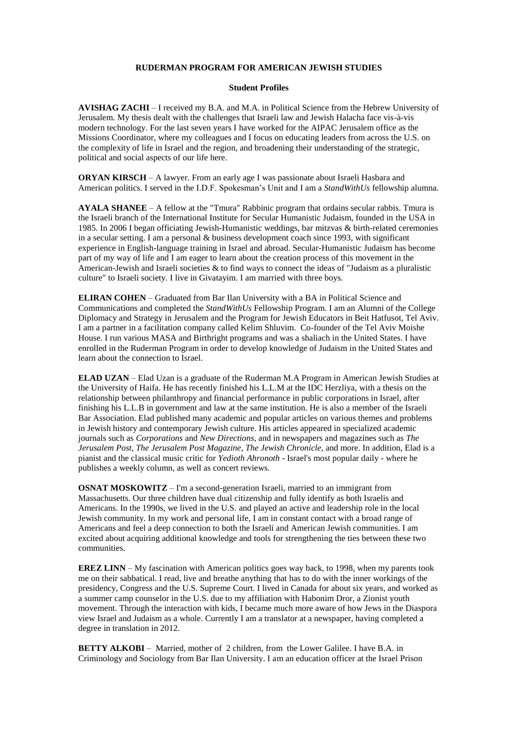## **RUDERMAN PROGRAM FOR AMERICAN JEWISH STUDIES**

## **Student Profiles**

**AVISHAG ZACHI** – I received my B.A. and M.A. in Political Science from the Hebrew University of Jerusalem. My thesis dealt with the challenges that Israeli law and Jewish Halacha face vis-à-vis modern technology. For the last seven years I have worked for the AIPAC Jerusalem office as the Missions Coordinator, where my colleagues and I focus on educating leaders from across the U.S. on the complexity of life in Israel and the region, and broadening their understanding of the strategic, political and social aspects of our life here.

**ORYAN KIRSCH** – A lawyer. From an early age I was passionate about Israeli Hasbara and American politics. I served in the I.D.F. Spokesman's Unit and I am a *StandWithUs* fellowship alumna.

**AYALA SHANEE** – A fellow at the "Tmura" Rabbinic program that ordains secular rabbis. Tmura is the Israeli branch of the International Institute for Secular Humanistic Judaism, founded in the USA in 1985. In 2006 I began officiating Jewish-Humanistic weddings, bar mitzvas & birth-related ceremonies in a secular setting. I am a personal & business development coach since 1993, with significant experience in English-language training in Israel and abroad. Secular-Humanistic Judaism has become part of my way of life and I am eager to learn about the creation process of this movement in the American-Jewish and Israeli societies & to find ways to connect the ideas of "Judaism as a pluralistic culture" to Israeli society. I live in Givatayim. I am married with three boys.

**ELIRAN COHEN** – Graduated from Bar Ilan University with a BA in Political Science and Communications and completed the *StandWithUs* Fellowship Program. I am an Alumni of the College Diplomacy and Strategy in Jerusalem and the Program for Jewish Educators in Beit Hatfusot, Tel Aviv. I am a partner in a facilitation company called Kelim Shluvim. Co-founder of the Tel Aviv Moishe House. I run various MASA and Birthright programs and was a shaliach in the United States. I have enrolled in the Ruderman Program in order to develop knowledge of Judaism in the United States and learn about the connection to Israel.

**ELAD UZAN** – Elad Uzan is a graduate of the Ruderman M.A Program in American Jewish Studies at the University of Haifa. He has recently finished his L.L.M at the IDC Herzliya, with a thesis on the relationship between philanthropy and financial performance in public corporations in Israel, after finishing his L.L.B in government and law at the same institution. He is also a member of the Israeli Bar Association. Elad published many academic and popular articles on various themes and problems in Jewish history and contemporary Jewish culture. His articles appeared in specialized academic journals such as *Corporations* and *New Directions*, and in newspapers and magazines such as *The Jerusalem Post*, *The Jerusalem Post Magazine*, *The Jewish Chronicle*, and more. In addition, Elad is a pianist and the classical music critic for *Yedioth Ahronoth* - Israel's most popular daily - where he publishes a weekly column, as well as concert reviews.

**OSNAT MOSKOWITZ** – I'm a second-generation Israeli, married to an immigrant from Massachusetts. Our three children have dual citizenship and fully identify as both Israelis and Americans. In the 1990s, we lived in the U.S. and played an active and leadership role in the local Jewish community. In my work and personal life, I am in constant contact with a broad range of Americans and feel a deep connection to both the Israeli and American Jewish communities. I am excited about acquiring additional knowledge and tools for strengthening the ties between these two communities.

**EREZ LINN** – My fascination with American politics goes way back, to 1998, when my parents took me on their sabbatical. I read, live and breathe anything that has to do with the inner workings of the presidency, Congress and the U.S. Supreme Court. I lived in Canada for about six years, and worked as a summer camp counselor in the U.S. due to my affiliation with Habonim Dror, a Zionist youth movement. Through the interaction with kids, I became much more aware of how Jews in the Diaspora view Israel and Judaism as a whole. Currently I am a translator at a newspaper, having completed a degree in translation in 2012.

**BETTY ALKOBI** – Married, mother of 2 children, from the Lower Galilee. I have B.A. in Criminology and Sociology from Bar Ilan University. I am an education officer at the Israel Prison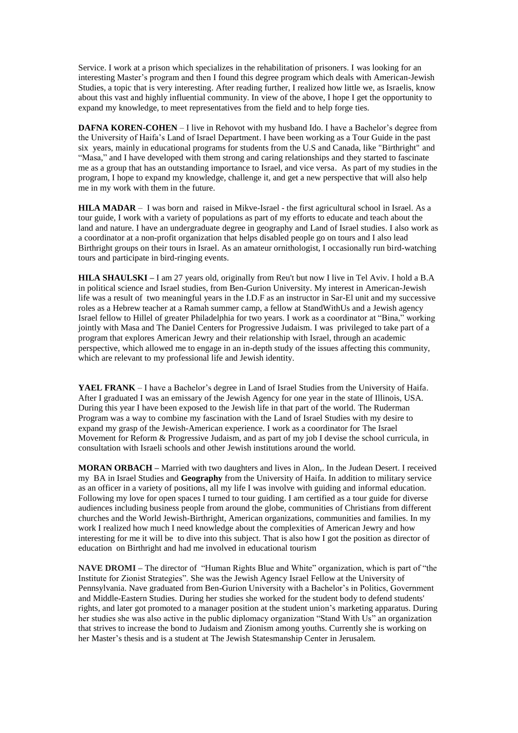Service. I work at a prison which specializes in the rehabilitation of prisoners. I was looking for an interesting Master's program and then I found this degree program which deals with American-Jewish Studies, a topic that is very interesting. After reading further, I realized how little we, as Israelis, know about this vast and highly influential community. In view of the above, I hope I get the opportunity to expand my knowledge, to meet representatives from the field and to help forge ties.

**DAFNA KOREN-COHEN** – I live in Rehovot with my husband Ido. I have a Bachelor's degree from the University of Haifa's Land of Israel Department. I have been working as a Tour Guide in the past six years, mainly in educational programs for students from the U.S and Canada, like "Birthright" and "Masa," and I have developed with them strong and caring relationships and they started to fascinate me as a group that has an outstanding importance to Israel, and vice versa. As part of my studies in the program, I hope to expand my knowledge, challenge it, and get a new perspective that will also help me in my work with them in the future.

**HILA MADAR** – I was born and raised in Mikve-Israel - the first agricultural school in Israel. As a tour guide, I work with a variety of populations as part of my efforts to educate and teach about the land and nature. I have an undergraduate degree in geography and Land of Israel studies. I also work as a coordinator at a non-profit organization that helps disabled people go on tours and I also lead Birthright groups on their tours in Israel. As an amateur ornithologist, I occasionally run bird-watching tours and participate in bird-ringing events.

**HILA SHAULSKI –** I am 27 years old, originally from Reu't but now I live in Tel Aviv. I hold a B.A in political science and Israel studies, from Ben-Gurion University. My interest in American-Jewish life was a result of two meaningful years in the I.D.F as an instructor in Sar-El unit and my successive roles as a Hebrew teacher at a Ramah summer camp, a fellow at StandWithUs and a Jewish agency Israel fellow to Hillel of greater Philadelphia for two years. I work as a coordinator at "Bina," working jointly with Masa and [The Daniel Centers for Progressive Judaism.](http://www.beit-daniel.org.il/en/) I was privileged to take part of a program that explores American Jewry and their relationship with Israel, through an academic perspective, which allowed me to engage in an in-depth study of the issues affecting this community, which are relevant to my professional life and Jewish identity.

**YAEL FRANK** – I have a Bachelor's degree in Land of Israel Studies from the University of Haifa. After I graduated I was an emissary of the Jewish Agency for one year in the state of Illinois, USA. During this year I have been exposed to the Jewish life in that part of the world. The Ruderman Program was a way to combine my fascination with the Land of Israel Studies with my desire to expand my grasp of the Jewish-American experience. I work as a coordinator for The Israel Movement for Reform & Progressive Judaism, and as part of my job I devise the school curricula, in consultation with Israeli schools and other Jewish institutions around the world.

**MORAN ORBACH –** Married with two daughters and lives in Alon,. In the Judean Desert. I received my BA in Israel Studies and **Geography** from the University of Haifa. In addition to military service as an officer in a variety of positions, all my life I was involve with guiding and informal education. Following my love for open spaces I turned to tour guiding. I am certified as a tour guide for diverse audiences including business people from around the globe, communities of Christians from different churches and the World Jewish-Birthright, American organizations, communities and families. In my work I realized how much I need knowledge about the complexities of American Jewry and how interesting for me it will be to dive into this subject. That is also how I got the position as director of education on Birthright and had me involved in educational tourism

**NAVE DROMI –** The director of "Human Rights Blue and White" organization, which is part of "the Institute for Zionist Strategies". She was the Jewish Agency Israel Fellow at the University of Pennsylvania. Nave graduated from Ben-Gurion University with a Bachelor's in Politics, Government and Middle-Eastern Studies. During her studies she worked for the student body to defend students' rights, and later got promoted to a manager position at the student union's marketing apparatus. During her studies she was also active in the public diplomacy organization "Stand With Us" an organization that strives to increase the bond to Judaism and Zionism among youths. Currently she is working on her Master's thesis and is a student at The Jewish Statesmanship Center in Jerusalem.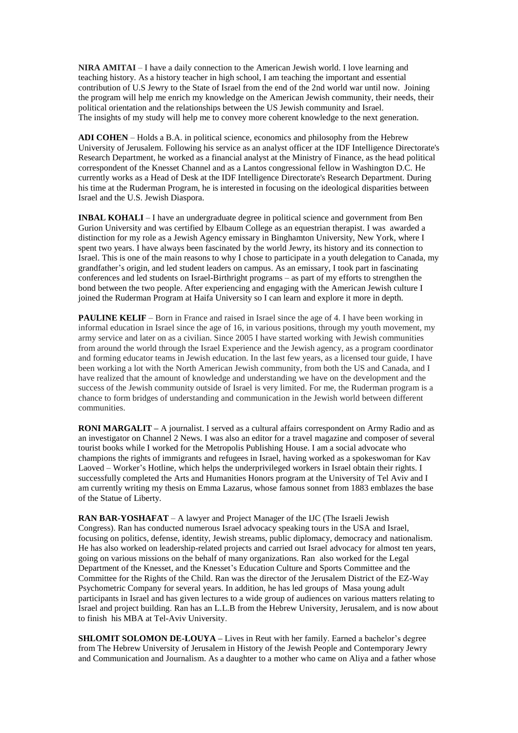**NIRA AMITAI** – I have a daily connection to the American Jewish world. I love learning and teaching history. As a history teacher in high school, I am teaching the important and essential contribution of U.S Jewry to the State of Israel from the end of the 2nd world war until now. Joining the program will help me enrich my knowledge on the American Jewish community, their needs, their political orientation and the relationships between the US Jewish community and Israel. The insights of my study will help me to convey more coherent knowledge to the next generation.

**ADI COHEN** – Holds a B.A. in political science, economics and philosophy from the Hebrew University of Jerusalem. Following his service as an analyst officer at the IDF Intelligence Directorate's Research Department, he worked as a financial analyst at the Ministry of Finance, as the head political correspondent of the Knesset Channel and as a Lantos congressional fellow in Washington D.C. He currently works as a Head of Desk at the IDF Intelligence Directorate's Research Department. During his time at the Ruderman Program, he is interested in focusing on the ideological disparities between Israel and the U.S. Jewish Diaspora.

**INBAL KOHALI** – I have an undergraduate degree in political science and government from Ben Gurion University and was certified by Elbaum College as an equestrian therapist. I was awarded a distinction for my role as a Jewish Agency emissary in Binghamton University, New York, where I spent two years. I have always been fascinated by the world Jewry, its history and its connection to Israel. This is one of the main reasons to why I chose to participate in a youth delegation to Canada, my grandfather's origin, and led student leaders on campus. As an emissary, I took part in fascinating conferences and led students on Israel-Birthright programs – as part of my efforts to strengthen the bond between the two people. After experiencing and engaging with the American Jewish culture I joined the Ruderman Program at Haifa University so I can learn and explore it more in depth.

**PAULINE KELIF** – Born in France and raised in Israel since the age of 4. I have been working in informal education in Israel since the age of 16, in various positions, through my youth movement, my army service and later on as a civilian. Since 2005 I have started working with Jewish communities from around the world through the Israel Experience and the Jewish agency, as a program coordinator and forming educator teams in Jewish education. In the last few years, as a licensed tour guide, I have been working a lot with the North American Jewish community, from both the US and Canada, and I have realized that the amount of knowledge and understanding we have on the development and the success of the Jewish community outside of Israel is very limited. For me, the Ruderman program is a chance to form bridges of understanding and communication in the Jewish world between different communities.

**RONI MARGALIT –** A journalist. I served as a cultural affairs correspondent on Army Radio and as an investigator on Channel 2 News. I was also an editor for a travel magazine and composer of several tourist books while I worked for the Metropolis Publishing House. I am a social advocate who champions the rights of immigrants and refugees in Israel, having worked as a spokeswoman for Kav Laoved – Worker's Hotline, which helps the underprivileged workers in Israel obtain their rights. I successfully completed the Arts and Humanities Honors program at the University of Tel Aviv and I am currently writing my thesis on Emma Lazarus, whose famous sonnet from 1883 emblazes the base of the Statue of Liberty.

**RAN BAR-YOSHAFAT** – A lawyer and Project Manager of the IJC (The Israeli Jewish Congress). Ran has conducted numerous Israel advocacy speaking tours in the USA and Israel, focusing on politics, defense, identity, Jewish streams, public diplomacy, democracy and nationalism. He has also worked on leadership-related projects and carried out Israel advocacy for almost ten years, going on various missions on the behalf of many organizations. Ran also worked for the Legal Department of the Knesset, and the Knesset's Education Culture and Sports Committee and the Committee for the Rights of the Child. Ran was the director of the Jerusalem District of the EZ-Way Psychometric Company for several years. In addition, he has led groups of Masa young adult participants in Israel and has given lectures to a wide group of audiences on various matters relating to Israel and project building. Ran has an L.L.B from the Hebrew University, Jerusalem, and is now about to finish his MBA at Tel-Aviv University.

**SHLOMIT SOLOMON DE-LOUYA –** Lives in Reut with her family. Earned a bachelor's degree from The Hebrew University of Jerusalem in History of the Jewish People and Contemporary Jewry and Communication and Journalism. As a daughter to a mother who came on Aliya and a father whose